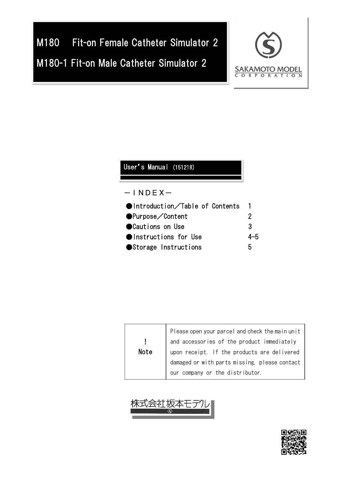# M180 Fit-on Female Catheter Simulator 2 M180-1 Fit-on Male Catheter Simulator 2



### User's Manual (151218)

### $-$ INDEX $-$

| $\bullet$ Introduction/Table of Contents |     |
|------------------------------------------|-----|
| ●Purpose/Content                         | 2   |
| ● Cautions on Use                        | 3   |
| <b>Olnstructions for Use</b>             | 4–5 |
| ● Storage Instructions                   | h   |

| Note | Please open your parcel and check the main unit<br>and accessories of the product immediately<br>upon receipt. If the products are delivered<br>damaged or with parts missing, please contact |
|------|-----------------------------------------------------------------------------------------------------------------------------------------------------------------------------------------------|
|      | our company or the distributor.                                                                                                                                                               |



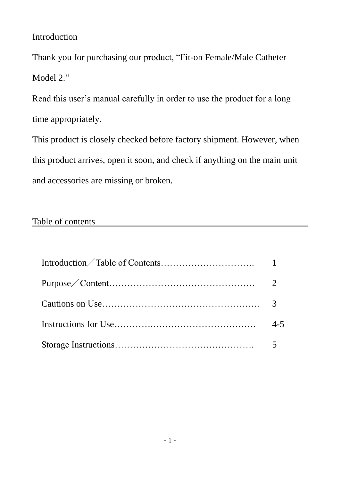### Introduction

Thank you for purchasing our product, "Fit-on Female/Male Catheter Model 2."

Read this user's manual carefully in order to use the product for a long time appropriately.

This product is closely checked before factory shipment. However, when this product arrives, open it soon, and check if anything on the main unit and accessories are missing or broken.

### Table of contents

| $4 - 5$ |
|---------|
|         |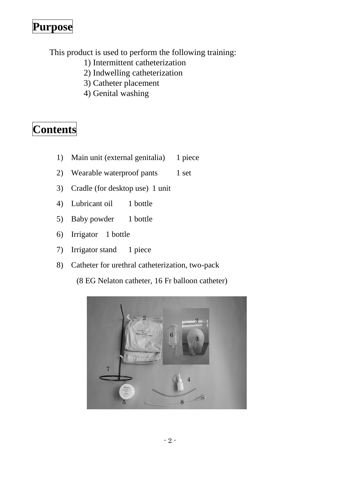## **Purpose**

This product is used to perform the following training:

- 1) Intermittent catheterization
- 2) Indwelling catheterization
- 3) Catheter placement
- 4) Genital washing

# **Contents**

- 1) Main unit (external genitalia) 1 piece
- 2) Wearable waterproof pants 1 set
- 3) Cradle (for desktop use) 1 unit
- 4) Lubricant oil 1 bottle
- 5) Baby powder 1 bottle
- 6) Irrigator 1 bottle
- 7) Irrigator stand 1 piece
- 8) Catheter for urethral catheterization, two-pack

(8 EG Nelaton catheter, 16 Fr balloon catheter)

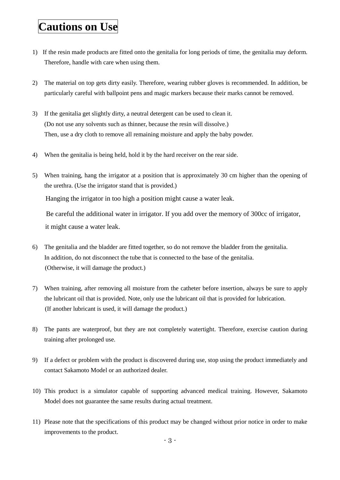### **Cautions on Use**

- 1) If the resin made products are fitted onto the genitalia for long periods of time, the genitalia may deform. Therefore, handle with care when using them.
- 2) The material on top gets dirty easily. Therefore, wearing rubber gloves is recommended. In addition, be particularly careful with ballpoint pens and magic markers because their marks cannot be removed.
- 3) If the genitalia get slightly dirty, a neutral detergent can be used to clean it. (Do not use any solvents such as thinner, because the resin will dissolve.) Then, use a dry cloth to remove all remaining moisture and apply the baby powder.
- 4) When the genitalia is being held, hold it by the hard receiver on the rear side.
- 5) When training, hang the irrigator at a position that is approximately 30 cm higher than the opening of the urethra. (Use the irrigator stand that is provided.)

Hanging the irrigator in too high a position might cause a water leak.

Be careful the additional water in irrigator. If you add over the memory of 300cc of irrigator, it might cause a water leak.

- 6) The genitalia and the bladder are fitted together, so do not remove the bladder from the genitalia. In addition, do not disconnect the tube that is connected to the base of the genitalia. (Otherwise, it will damage the product.)
- 7) When training, after removing all moisture from the catheter before insertion, always be sure to apply the lubricant oil that is provided. Note, only use the lubricant oil that is provided for lubrication. (If another lubricant is used, it will damage the product.)
- 8) The pants are waterproof, but they are not completely watertight. Therefore, exercise caution during training after prolonged use.
- 9) If a defect or problem with the product is discovered during use, stop using the product immediately and contact Sakamoto Model or an authorized dealer.
- 10) This product is a simulator capable of supporting advanced medical training. However, Sakamoto Model does not guarantee the same results during actual treatment.
- 11) Please note that the specifications of this product may be changed without prior notice in order to make improvements to the product.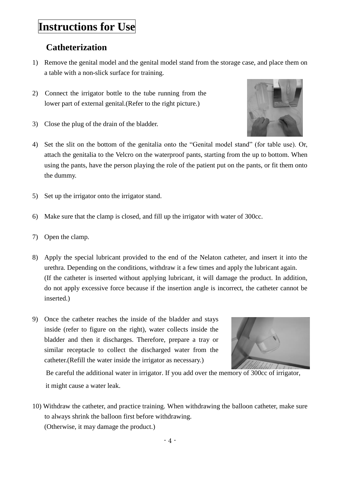### **Instructions for Use**

### **Catheterization**

- 1) Remove the genital model and the genital model stand from the storage case, and place them on a table with a non-slick surface for training.
- 2) Connect the irrigator bottle to the tube running from the lower part of external genital.(Refer to the right picture.)
- 3) Close the plug of the drain of the bladder.



- 4) Set the slit on the bottom of the genitalia onto the "Genital model stand" (for table use). Or, attach the genitalia to the Velcro on the waterproof pants, starting from the up to bottom. When using the pants, have the person playing the role of the patient put on the pants, or fit them onto the dummy.
- 5) Set up the irrigator onto the irrigator stand.
- 6) Make sure that the clamp is closed, and fill up the irrigator with water of 300cc.
- 7) Open the clamp.
- 8) Apply the special lubricant provided to the end of the Nelaton catheter, and insert it into the urethra. Depending on the conditions, withdraw it a few times and apply the lubricant again. (If the catheter is inserted without applying lubricant, it will damage the product. In addition, do not apply excessive force because if the insertion angle is incorrect, the catheter cannot be inserted.)
- 9) Once the catheter reaches the inside of the bladder and stays inside (refer to figure on the right), water collects inside the bladder and then it discharges. Therefore, prepare a tray or similar receptacle to collect the discharged water from the catheter.(Refill the water inside the irrigator as necessary.)



Be careful the additional water in irrigator. If you add over the memory of 300cc of irrigator, it might cause a water leak.

10) Withdraw the catheter, and practice training. When withdrawing the balloon catheter, make sure to always shrink the balloon first before withdrawing. (Otherwise, it may damage the product.)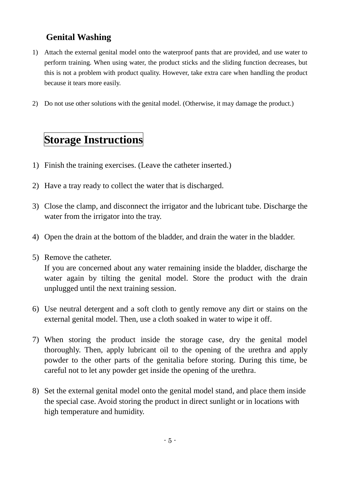### **Genital Washing**

- 1) Attach the external genital model onto the waterproof pants that are provided, and use water to perform training. When using water, the product sticks and the sliding function decreases, but this is not a problem with product quality. However, take extra care when handling the product because it tears more easily.
- 2) Do not use other solutions with the genital model. (Otherwise, it may damage the product.)

# **Storage Instructions**

- 1) Finish the training exercises. (Leave the catheter inserted.)
- 2) Have a tray ready to collect the water that is discharged.
- 3) Close the clamp, and disconnect the irrigator and the lubricant tube. Discharge the water from the irrigator into the tray.
- 4) Open the drain at the bottom of the bladder, and drain the water in the bladder.
- 5) Remove the catheter.

If you are concerned about any water remaining inside the bladder, discharge the water again by tilting the genital model. Store the product with the drain unplugged until the next training session.

- 6) Use neutral detergent and a soft cloth to gently remove any dirt or stains on the external genital model. Then, use a cloth soaked in water to wipe it off.
- 7) When storing the product inside the storage case, dry the genital model thoroughly. Then, apply lubricant oil to the opening of the urethra and apply powder to the other parts of the genitalia before storing. During this time, be careful not to let any powder get inside the opening of the urethra.
- 8) Set the external genital model onto the genital model stand, and place them inside the special case. Avoid storing the product in direct sunlight or in locations with high temperature and humidity.